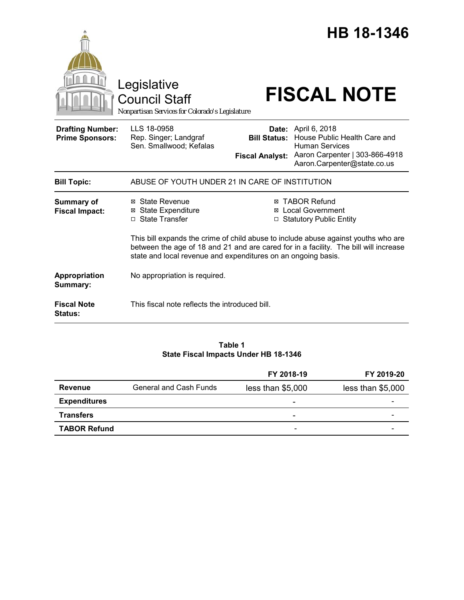|                                                   | Legislative                                                                                                                                                                                                                                 |                                               | HB 18-1346<br><b>FISCAL NOTE</b>                                                                                                                     |  |
|---------------------------------------------------|---------------------------------------------------------------------------------------------------------------------------------------------------------------------------------------------------------------------------------------------|-----------------------------------------------|------------------------------------------------------------------------------------------------------------------------------------------------------|--|
|                                                   | Council Staff<br>Nonpartisan Services for Colorado's Legislature                                                                                                                                                                            |                                               |                                                                                                                                                      |  |
| <b>Drafting Number:</b><br><b>Prime Sponsors:</b> | LLS 18-0958<br>Rep. Singer; Landgraf<br>Sen. Smallwood; Kefalas                                                                                                                                                                             | <b>Bill Status:</b><br><b>Fiscal Analyst:</b> | <b>Date:</b> April 6, 2018<br>House Public Health Care and<br><b>Human Services</b><br>Aaron Carpenter   303-866-4918<br>Aaron.Carpenter@state.co.us |  |
| <b>Bill Topic:</b>                                | ABUSE OF YOUTH UNDER 21 IN CARE OF INSTITUTION                                                                                                                                                                                              |                                               |                                                                                                                                                      |  |
| <b>Summary of</b><br><b>Fiscal Impact:</b>        | ⊠ State Revenue<br><b>State Expenditure</b><br>⊠<br>□ State Transfer                                                                                                                                                                        | ⊠<br>□                                        | <b>⊠ TABOR Refund</b><br><b>Local Government</b><br><b>Statutory Public Entity</b>                                                                   |  |
|                                                   | This bill expands the crime of child abuse to include abuse against youths who are<br>between the age of 18 and 21 and are cared for in a facility. The bill will increase<br>state and local revenue and expenditures on an ongoing basis. |                                               |                                                                                                                                                      |  |
| Appropriation<br>Summary:                         | No appropriation is required.                                                                                                                                                                                                               |                                               |                                                                                                                                                      |  |
| <b>Fiscal Note</b><br><b>Status:</b>              | This fiscal note reflects the introduced bill.                                                                                                                                                                                              |                                               |                                                                                                                                                      |  |

# **Table 1 State Fiscal Impacts Under HB 18-1346**

|                     |                        | FY 2018-19               | FY 2019-20        |
|---------------------|------------------------|--------------------------|-------------------|
| Revenue             | General and Cash Funds | less than \$5,000        | less than \$5,000 |
| <b>Expenditures</b> |                        | $\overline{\phantom{0}}$ |                   |
| <b>Transfers</b>    |                        | $\overline{\phantom{a}}$ |                   |
| <b>TABOR Refund</b> |                        | -                        |                   |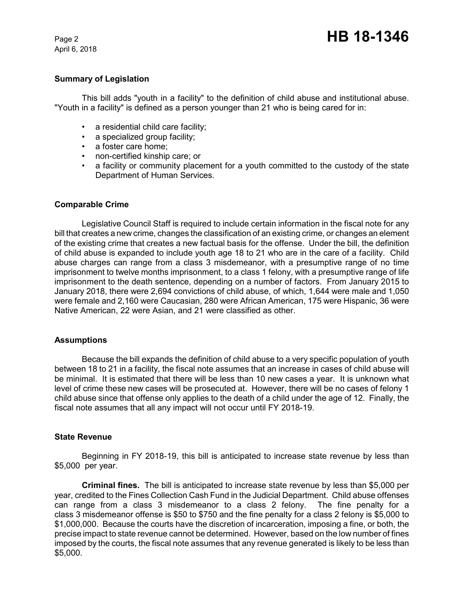April 6, 2018

# **Summary of Legislation**

This bill adds "youth in a facility" to the definition of child abuse and institutional abuse. "Youth in a facility" is defined as a person younger than 21 who is being cared for in:

- a residential child care facility;
- a specialized group facility;
- a foster care home;
- non-certified kinship care; or
- a facility or community placement for a youth committed to the custody of the state Department of Human Services.

## **Comparable Crime**

Legislative Council Staff is required to include certain information in the fiscal note for any bill that creates a new crime, changes the classification of an existing crime, or changes an element of the existing crime that creates a new factual basis for the offense. Under the bill, the definition of child abuse is expanded to include youth age 18 to 21 who are in the care of a facility. Child abuse charges can range from a class 3 misdemeanor, with a presumptive range of no time imprisonment to twelve months imprisonment, to a class 1 felony, with a presumptive range of life imprisonment to the death sentence, depending on a number of factors. From January 2015 to January 2018, there were 2,694 convictions of child abuse, of which, 1,644 were male and 1,050 were female and 2,160 were Caucasian, 280 were African American, 175 were Hispanic, 36 were Native American, 22 were Asian, and 21 were classified as other.

## **Assumptions**

Because the bill expands the definition of child abuse to a very specific population of youth between 18 to 21 in a facility, the fiscal note assumes that an increase in cases of child abuse will be minimal. It is estimated that there will be less than 10 new cases a year. It is unknown what level of crime these new cases will be prosecuted at. However, there will be no cases of felony 1 child abuse since that offense only applies to the death of a child under the age of 12. Finally, the fiscal note assumes that all any impact will not occur until FY 2018-19.

# **State Revenue**

Beginning in FY 2018-19, this bill is anticipated to increase state revenue by less than \$5,000 per year.

**Criminal fines.** The bill is anticipated to increase state revenue by less than \$5,000 per year, credited to the Fines Collection Cash Fund in the Judicial Department. Child abuse offenses can range from a class 3 misdemeanor to a class 2 felony. The fine penalty for a class 3 misdemeanor offense is \$50 to \$750 and the fine penalty for a class 2 felony is \$5,000 to \$1,000,000. Because the courts have the discretion of incarceration, imposing a fine, or both, the precise impact to state revenue cannot be determined. However, based on the low number of fines imposed by the courts, the fiscal note assumes that any revenue generated is likely to be less than \$5,000.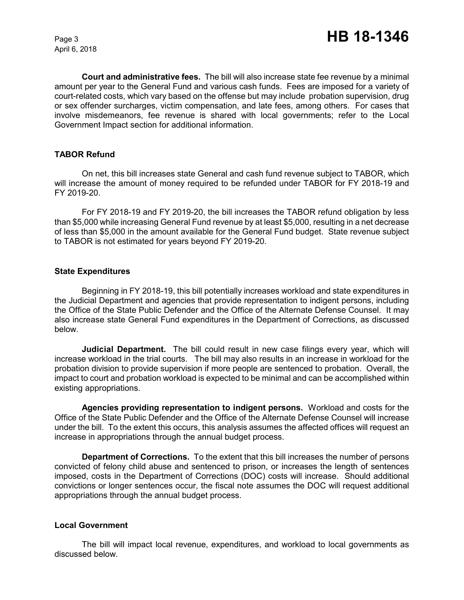April 6, 2018

**Court and administrative fees.** The bill will also increase state fee revenue by a minimal amount per year to the General Fund and various cash funds. Fees are imposed for a variety of court-related costs, which vary based on the offense but may include probation supervision, drug or sex offender surcharges, victim compensation, and late fees, among others. For cases that involve misdemeanors, fee revenue is shared with local governments; refer to the Local Government Impact section for additional information.

# **TABOR Refund**

On net, this bill increases state General and cash fund revenue subject to TABOR, which will increase the amount of money required to be refunded under TABOR for FY 2018-19 and FY 2019-20.

For FY 2018-19 and FY 2019-20, the bill increases the TABOR refund obligation by less than \$5,000 while increasing General Fund revenue by at least \$5,000, resulting in a net decrease of less than \$5,000 in the amount available for the General Fund budget. State revenue subject to TABOR is not estimated for years beyond FY 2019-20.

## **State Expenditures**

Beginning in FY 2018-19, this bill potentially increases workload and state expenditures in the Judicial Department and agencies that provide representation to indigent persons, including the Office of the State Public Defender and the Office of the Alternate Defense Counsel. It may also increase state General Fund expenditures in the Department of Corrections, as discussed below.

**Judicial Department.** The bill could result in new case filings every year, which will increase workload in the trial courts. The bill may also results in an increase in workload for the probation division to provide supervision if more people are sentenced to probation. Overall, the impact to court and probation workload is expected to be minimal and can be accomplished within existing appropriations.

**Agencies providing representation to indigent persons.** Workload and costs for the Office of the State Public Defender and the Office of the Alternate Defense Counsel will increase under the bill. To the extent this occurs, this analysis assumes the affected offices will request an increase in appropriations through the annual budget process.

**Department of Corrections.** To the extent that this bill increases the number of persons convicted of felony child abuse and sentenced to prison, or increases the length of sentences imposed, costs in the Department of Corrections (DOC) costs will increase. Should additional convictions or longer sentences occur, the fiscal note assumes the DOC will request additional appropriations through the annual budget process.

## **Local Government**

The bill will impact local revenue, expenditures, and workload to local governments as discussed below.